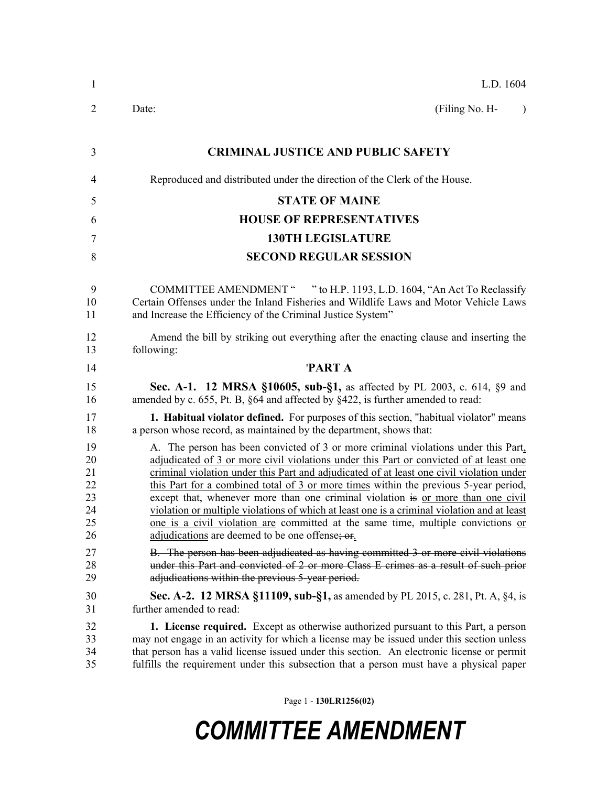| 1                                            | L.D. 1604                                                                                                                                                                                                                                                                                                                                                                                                                                                                                                                                                                                                                                                                                 |
|----------------------------------------------|-------------------------------------------------------------------------------------------------------------------------------------------------------------------------------------------------------------------------------------------------------------------------------------------------------------------------------------------------------------------------------------------------------------------------------------------------------------------------------------------------------------------------------------------------------------------------------------------------------------------------------------------------------------------------------------------|
| 2                                            | (Filing No. H-<br>Date:<br>$\lambda$                                                                                                                                                                                                                                                                                                                                                                                                                                                                                                                                                                                                                                                      |
| 3                                            | <b>CRIMINAL JUSTICE AND PUBLIC SAFETY</b>                                                                                                                                                                                                                                                                                                                                                                                                                                                                                                                                                                                                                                                 |
| $\overline{4}$                               | Reproduced and distributed under the direction of the Clerk of the House.                                                                                                                                                                                                                                                                                                                                                                                                                                                                                                                                                                                                                 |
| 5                                            | <b>STATE OF MAINE</b>                                                                                                                                                                                                                                                                                                                                                                                                                                                                                                                                                                                                                                                                     |
| 6                                            | <b>HOUSE OF REPRESENTATIVES</b>                                                                                                                                                                                                                                                                                                                                                                                                                                                                                                                                                                                                                                                           |
| 7                                            | <b>130TH LEGISLATURE</b>                                                                                                                                                                                                                                                                                                                                                                                                                                                                                                                                                                                                                                                                  |
| 8                                            | <b>SECOND REGULAR SESSION</b>                                                                                                                                                                                                                                                                                                                                                                                                                                                                                                                                                                                                                                                             |
| 9<br>10<br>11                                | COMMITTEE AMENDMENT " " to H.P. 1193, L.D. 1604, "An Act To Reclassify<br>Certain Offenses under the Inland Fisheries and Wildlife Laws and Motor Vehicle Laws<br>and Increase the Efficiency of the Criminal Justice System"                                                                                                                                                                                                                                                                                                                                                                                                                                                             |
| 12<br>13                                     | Amend the bill by striking out everything after the enacting clause and inserting the<br>following:                                                                                                                                                                                                                                                                                                                                                                                                                                                                                                                                                                                       |
| 14                                           | 'PART A                                                                                                                                                                                                                                                                                                                                                                                                                                                                                                                                                                                                                                                                                   |
| 15<br>16                                     | Sec. A-1. 12 MRSA §10605, sub-§1, as affected by PL 2003, c. 614, §9 and<br>amended by c. 655, Pt. B, §64 and affected by §422, is further amended to read:                                                                                                                                                                                                                                                                                                                                                                                                                                                                                                                               |
| 17<br>18                                     | <b>1. Habitual violator defined.</b> For purposes of this section, "habitual violator" means<br>a person whose record, as maintained by the department, shows that:                                                                                                                                                                                                                                                                                                                                                                                                                                                                                                                       |
| 19<br>20<br>21<br>22<br>23<br>24<br>25<br>26 | A. The person has been convicted of 3 or more criminal violations under this Part,<br>adjudicated of 3 or more civil violations under this Part or convicted of at least one<br>criminal violation under this Part and adjudicated of at least one civil violation under<br>this Part for a combined total of 3 or more times within the previous 5-year period,<br>except that, whenever more than one criminal violation is or more than one civil<br>violation or multiple violations of which at least one is a criminal violation and at least<br>one is a civil violation are committed at the same time, multiple convictions or<br>adjudications are deemed to be one offense; or |
| 27<br>28<br>29                               | B. The person has been adjudicated as having committed 3 or more civil violations<br>under this Part and convicted of 2 or more Class E crimes as a result of such prior<br>adjudications within the previous 5-year period.                                                                                                                                                                                                                                                                                                                                                                                                                                                              |
| 30<br>31                                     | <b>Sec. A-2. 12 MRSA §11109, sub-§1, as amended by PL 2015, c. 281, Pt. A, §4, is</b><br>further amended to read:                                                                                                                                                                                                                                                                                                                                                                                                                                                                                                                                                                         |
| 32<br>33<br>34<br>35                         | <b>1. License required.</b> Except as otherwise authorized pursuant to this Part, a person<br>may not engage in an activity for which a license may be issued under this section unless<br>that person has a valid license issued under this section. An electronic license or permit<br>fulfills the requirement under this subsection that a person must have a physical paper                                                                                                                                                                                                                                                                                                          |

Page 1 - **130LR1256(02)**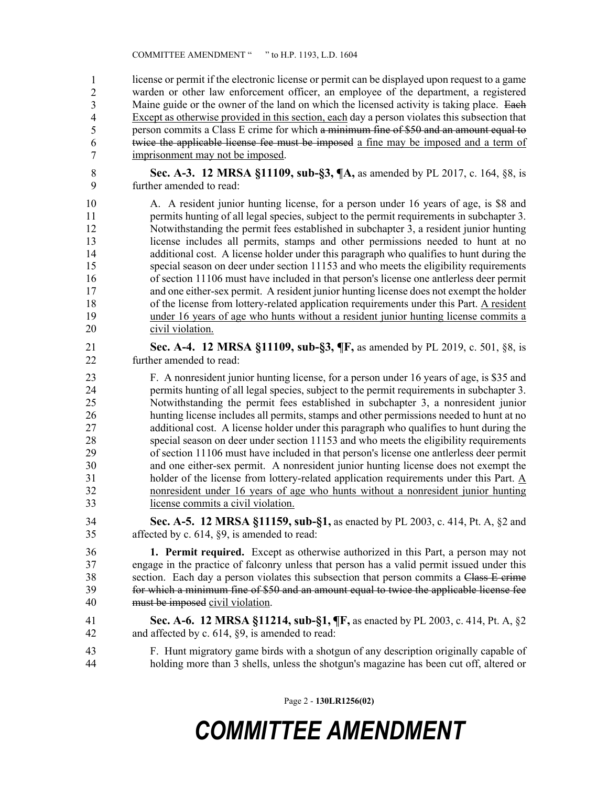license or permit if the electronic license or permit can be displayed upon request to a game warden or other law enforcement officer, an employee of the department, a registered Maine guide or the owner of the land on which the licensed activity is taking place. Each Except as otherwise provided in this section, each day a person violates this subsection that person commits a Class E crime for which a minimum fine of \$50 and an amount equal to twice the applicable license fee must be imposed a fine may be imposed and a term of imprisonment may not be imposed. 1 2 3 4 5 6 7

- 8 **Sec. A-3. 12 MRSA §11109, sub-§3, ¶A,** as amended by PL 2017, c. 164, §8, is 9 further amended to read:
- 10 A. A resident junior hunting license, for a person under 16 years of age, is \$8 and 11 permits hunting of all legal species, subject to the permit requirements in subchapter 3. 12 Notwithstanding the permit fees established in subchapter 3, a resident junior hunting 13 license includes all permits, stamps and other permissions needed to hunt at no 14 additional cost. A license holder under this paragraph who qualifies to hunt during the 15 special season on deer under section 11153 and who meets the eligibility requirements 16 of section 11106 must have included in that person's license one antlerless deer permit 17 and one either-sex permit. A resident junior hunting license does not exempt the holder 18 of the license from lottery-related application requirements under this Part. A resident 19 under 16 years of age who hunts without a resident junior hunting license commits a 20 civil violation.
- 21 **Sec. A-4. 12 MRSA §11109, sub-§3, ¶F,** as amended by PL 2019, c. 501, §8, is 22 further amended to read:
- 23 F. A nonresident junior hunting license, for a person under 16 years of age, is \$35 and 24 permits hunting of all legal species, subject to the permit requirements in subchapter 3. 25 Notwithstanding the permit fees established in subchapter 3, a nonresident junior 26 hunting license includes all permits, stamps and other permissions needed to hunt at no 27 additional cost. A license holder under this paragraph who qualifies to hunt during the 28 special season on deer under section 11153 and who meets the eligibility requirements 29 of section 11106 must have included in that person's license one antlerless deer permit 30 and one either-sex permit. A nonresident junior hunting license does not exempt the 31 holder of the license from lottery-related application requirements under this Part. A 32 nonresident under 16 years of age who hunts without a nonresident junior hunting 33 license commits a civil violation.
- 34 **Sec. A-5. 12 MRSA §11159, sub-§1,** as enacted by PL 2003, c. 414, Pt. A, §2 and 35 affected by c. 614, §9, is amended to read:

36 **1. Permit required.** Except as otherwise authorized in this Part, a person may not 37 engage in the practice of falconry unless that person has a valid permit issued under this 38 section. Each day a person violates this subsection that person commits a Class E crime 39 for which a minimum fine of \$50 and an amount equal to twice the applicable license fee 40 must be imposed civil violation.

- 41 **Sec. A-6. 12 MRSA §11214, sub-§1, ¶F,** as enacted by PL 2003, c. 414, Pt. A, §2 42 and affected by c. 614, §9, is amended to read:
- 43 F. Hunt migratory game birds with a shotgun of any description originally capable of 44 holding more than 3 shells, unless the shotgun's magazine has been cut off, altered or

Page 2 - **130LR1256(02)**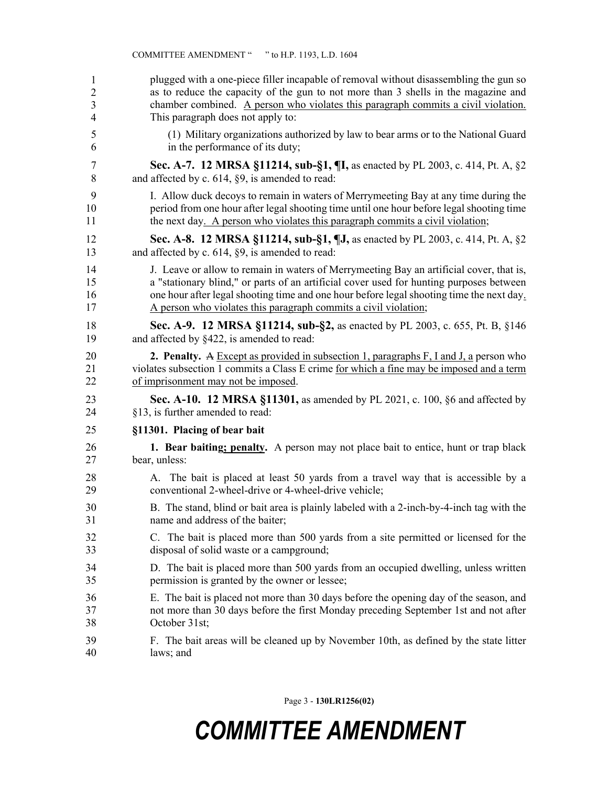| 1                       | plugged with a one-piece filler incapable of removal without disassembling the gun so           |
|-------------------------|-------------------------------------------------------------------------------------------------|
| 2                       | as to reduce the capacity of the gun to not more than 3 shells in the magazine and              |
| $\overline{\mathbf{3}}$ | chamber combined. A person who violates this paragraph commits a civil violation.               |
| 4                       | This paragraph does not apply to:                                                               |
| 5                       | (1) Military organizations authorized by law to bear arms or to the National Guard              |
| 6                       | in the performance of its duty;                                                                 |
| 7                       | Sec. A-7. 12 MRSA §11214, sub-§1, ¶I, as enacted by PL 2003, c. 414, Pt. A, §2                  |
| 8                       | and affected by c. 614, §9, is amended to read:                                                 |
| 9                       | I. Allow duck decoys to remain in waters of Merrymeeting Bay at any time during the             |
| 10                      | period from one hour after legal shooting time until one hour before legal shooting time        |
| 11                      | the next day. A person who violates this paragraph commits a civil violation;                   |
| 12                      | Sec. A-8. 12 MRSA §11214, sub-§1, ¶J, as enacted by PL 2003, c. 414, Pt. A, §2                  |
| 13                      | and affected by c. 614, §9, is amended to read:                                                 |
| 14                      | J. Leave or allow to remain in waters of Merrymeeting Bay an artificial cover, that is,         |
| 15                      | a "stationary blind," or parts of an artificial cover used for hunting purposes between         |
| 16                      | one hour after legal shooting time and one hour before legal shooting time the next day.        |
| 17                      | A person who violates this paragraph commits a civil violation;                                 |
| 18                      | Sec. A-9. 12 MRSA §11214, sub-§2, as enacted by PL 2003, c. 655, Pt. B, §146                    |
| 19                      | and affected by §422, is amended to read:                                                       |
| 20                      | <b>2. Penalty.</b> A Except as provided in subsection 1, paragraphs $F$ , I and J, a person who |
| 21                      | violates subsection 1 commits a Class E crime for which a fine may be imposed and a term        |
| 22                      | of imprisonment may not be imposed.                                                             |
| 23                      | <b>Sec. A-10. 12 MRSA §11301,</b> as amended by PL 2021, c. 100, §6 and affected by             |
| 24                      | §13, is further amended to read:                                                                |
| 25                      | §11301. Placing of bear bait                                                                    |
| 26                      | 1. Bear baiting; penalty. A person may not place bait to entice, hunt or trap black             |
| 27                      | bear, unless:                                                                                   |
| 28                      | A. The bait is placed at least 50 yards from a travel way that is accessible by a               |
| 29                      | conventional 2-wheel-drive or 4-wheel-drive vehicle;                                            |
| 30                      | B. The stand, blind or bait area is plainly labeled with a 2-inch-by-4-inch tag with the        |
| 31                      | name and address of the baiter;                                                                 |
| 32                      | C. The bait is placed more than 500 yards from a site permitted or licensed for the             |
| 33                      | disposal of solid waste or a campground;                                                        |
| 34                      | D. The bait is placed more than 500 yards from an occupied dwelling, unless written             |
| 35                      | permission is granted by the owner or lessee;                                                   |
| 36                      | E. The bait is placed not more than 30 days before the opening day of the season, and           |
| 37                      | not more than 30 days before the first Monday preceding September 1st and not after             |
| 38                      | October 31st;                                                                                   |
| 39                      | F. The bait areas will be cleaned up by November 10th, as defined by the state litter           |
| 40                      | laws; and                                                                                       |

COMMITTEE AMENDMENT " " to H.P. 1193, L.D. 1604

Page 3 - **130LR1256(02)**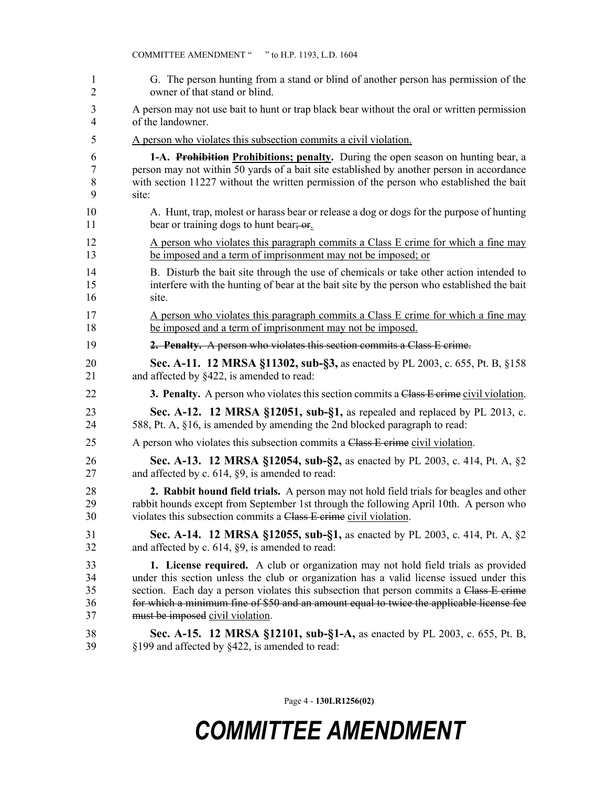| 1  | G. The person hunting from a stand or blind of another person has permission of the            |
|----|------------------------------------------------------------------------------------------------|
| 2  | owner of that stand or blind.                                                                  |
| 3  | A person may not use bait to hunt or trap black bear without the oral or written permission    |
| 4  | of the landowner.                                                                              |
| 5  | A person who violates this subsection commits a civil violation.                               |
| 6  | 1-A. Prohibition Prohibitions; penalty. During the open season on hunting bear, a              |
| 7  | person may not within 50 yards of a bait site established by another person in accordance      |
| 8  | with section 11227 without the written permission of the person who established the bait       |
| 9  | site:                                                                                          |
| 10 | A. Hunt, trap, molest or harass bear or release a dog or dogs for the purpose of hunting       |
| 11 | bear or training dogs to hunt bear; or                                                         |
| 12 | A person who violates this paragraph commits a Class E crime for which a fine may              |
| 13 | be imposed and a term of imprisonment may not be imposed; or                                   |
| 14 | B. Disturb the bait site through the use of chemicals or take other action intended to         |
| 15 | interfere with the hunting of bear at the bait site by the person who established the bait     |
| 16 | site.                                                                                          |
| 17 | A person who violates this paragraph commits a Class E crime for which a fine may              |
| 18 | be imposed and a term of imprisonment may not be imposed.                                      |
| 19 | 2. Penalty. A person who violates this section commits a Class E crime.                        |
| 20 | Sec. A-11. 12 MRSA §11302, sub-§3, as enacted by PL 2003, c. 655, Pt. B, §158                  |
| 21 | and affected by §422, is amended to read:                                                      |
| 22 | <b>3. Penalty.</b> A person who violates this section commits a Class E erime civil violation. |
| 23 | Sec. A-12. 12 MRSA §12051, sub-§1, as repealed and replaced by PL 2013, c.                     |
| 24 | 588, Pt. A, §16, is amended by amending the 2nd blocked paragraph to read:                     |
| 25 | A person who violates this subsection commits a Class E crime civil violation.                 |
| 26 | Sec. A-13. 12 MRSA §12054, sub-§2, as enacted by PL 2003, c. 414, Pt. A, §2                    |
| 27 | and affected by c. 614, §9, is amended to read:                                                |
| 28 | 2. Rabbit hound field trials. A person may not hold field trials for beagles and other         |
| 29 | rabbit hounds except from September 1st through the following April 10th. A person who         |
| 30 | violates this subsection commits a Class E crime civil violation.                              |
| 31 | <b>Sec. A-14. 12 MRSA §12055, sub-§1, as enacted by PL 2003, c. 414, Pt. A, §2</b>             |
| 32 | and affected by c. 614, §9, is amended to read:                                                |
| 33 | 1. License required. A club or organization may not hold field trials as provided              |
| 34 | under this section unless the club or organization has a valid license issued under this       |
| 35 | section. Each day a person violates this subsection that person commits a Class E-crime        |
| 36 | for which a minimum fine of \$50 and an amount equal to twice the applicable license fee       |
| 37 | must be imposed civil violation.                                                               |
| 38 | Sec. A-15. 12 MRSA §12101, sub-§1-A, as enacted by PL 2003, c. 655, Pt. B,                     |
| 39 | §199 and affected by §422, is amended to read:                                                 |

COMMITTEE AMENDMENT " " to H.P. 1193, L.D. 1604

Page 4 - **130LR1256(02)**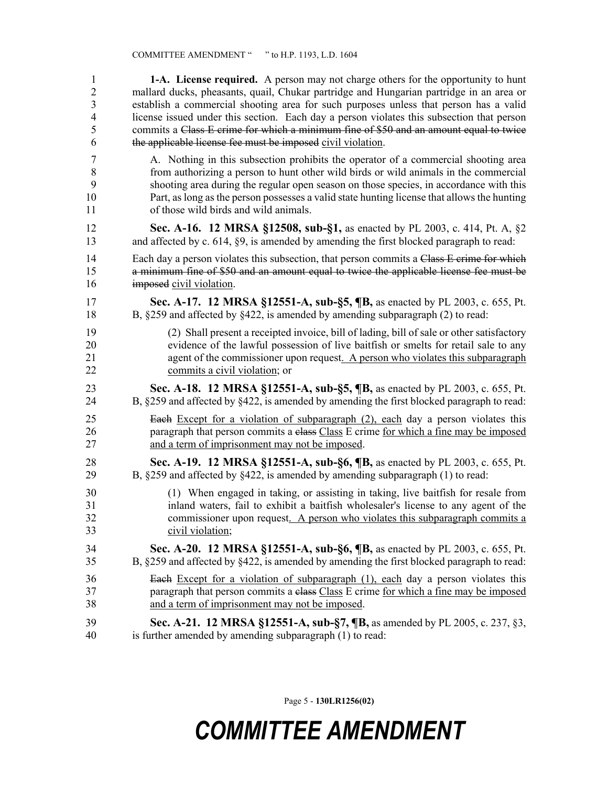| $\mathbf{1}$   | <b>1-A.</b> License required. A person may not charge others for the opportunity to hunt           |
|----------------|----------------------------------------------------------------------------------------------------|
| $\overline{2}$ | mallard ducks, pheasants, quail, Chukar partridge and Hungarian partridge in an area or            |
| 3              | establish a commercial shooting area for such purposes unless that person has a valid              |
| $\overline{4}$ | license issued under this section. Each day a person violates this subsection that person          |
| 5              | commits a Class E crime for which a minimum fine of \$50 and an amount equal to twice              |
| 6              | the applicable license fee must be imposed civil violation.                                        |
| $\overline{7}$ | A. Nothing in this subsection prohibits the operator of a commercial shooting area                 |
| $\,8\,$        | from authorizing a person to hunt other wild birds or wild animals in the commercial               |
| 9              | shooting area during the regular open season on those species, in accordance with this             |
| 10             | Part, as long as the person possesses a valid state hunting license that allows the hunting        |
| 11             | of those wild birds and wild animals.                                                              |
| 12             | Sec. A-16. 12 MRSA §12508, sub-§1, as enacted by PL 2003, c. 414, Pt. A, §2                        |
| 13             | and affected by c. 614, §9, is amended by amending the first blocked paragraph to read:            |
| 14             | Each day a person violates this subsection, that person commits a Class E crime for which          |
| 15             | a minimum fine of \$50 and an amount equal to twice the applicable license fee must be             |
| 16             | imposed civil violation.                                                                           |
| 17             | Sec. A-17. 12 MRSA §12551-A, sub-§5, ¶B, as enacted by PL 2003, c. 655, Pt.                        |
| 18             | B, $\S259$ and affected by $\S422$ , is amended by amending subparagraph (2) to read:              |
| 19             | (2) Shall present a receipted invoice, bill of lading, bill of sale or other satisfactory          |
| 20             | evidence of the lawful possession of live baitfish or smelts for retail sale to any                |
| 21             | agent of the commissioner upon request. A person who violates this subparagraph                    |
| 22             | commits a civil violation; or                                                                      |
| 23             | Sec. A-18. 12 MRSA §12551-A, sub-§5, ¶B, as enacted by PL 2003, c. 655, Pt.                        |
| 24             | B, $\S 259$ and affected by $\S 422$ , is amended by amending the first blocked paragraph to read: |
| 25             | Each Except for a violation of subparagraph (2), each day a person violates this                   |
| 26             | paragraph that person commits a elass Class E crime for which a fine may be imposed                |
| 27             | and a term of imprisonment may not be imposed.                                                     |
| 28             | Sec. A-19. 12 MRSA §12551-A, sub-§6, ¶B, as enacted by PL 2003, c. 655, Pt.                        |
| 29             | B, $\S259$ and affected by $\S422$ , is amended by amending subparagraph (1) to read:              |
| 30             | (1) When engaged in taking, or assisting in taking, live bait fish for resale from                 |
| 31             | inland waters, fail to exhibit a baitfish wholesaler's license to any agent of the                 |
| 32             | commissioner upon request. A person who violates this subparagraph commits a                       |
| 33             | civil violation;                                                                                   |
| 34             | Sec. A-20. 12 MRSA §12551-A, sub-§6, ¶B, as enacted by PL 2003, c. 655, Pt.                        |
| 35             | B, §259 and affected by §422, is amended by amending the first blocked paragraph to read:          |
| 36             | <b>Each</b> Except for a violation of subparagraph (1), each day a person violates this            |
| 37             | paragraph that person commits a class Class E crime for which a fine may be imposed                |
| 38             | and a term of imprisonment may not be imposed.                                                     |
| 39             | <b>Sec. A-21. 12 MRSA §12551-A, sub-§7, ¶B, as amended by PL 2005, c. 237, §3,</b>                 |
| 40             | is further amended by amending subparagraph (1) to read:                                           |

Page 5 - **130LR1256(02)**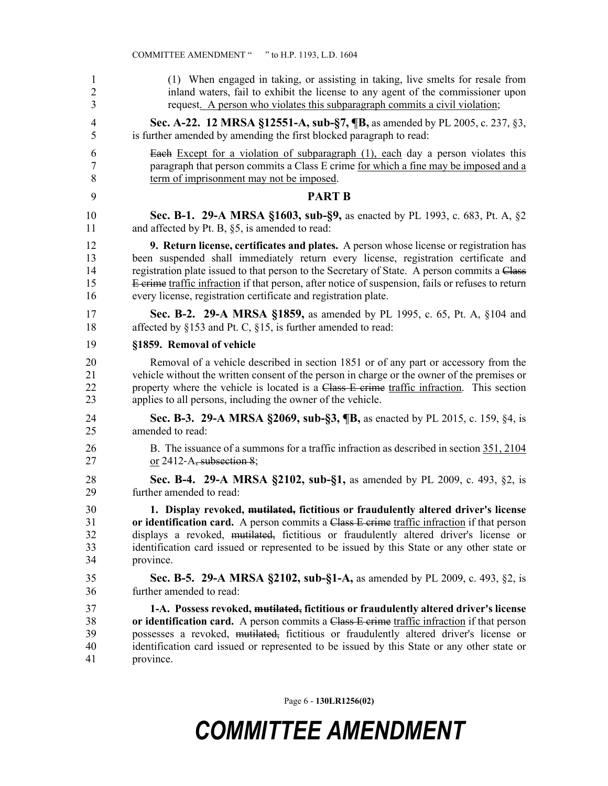| 1              | (1) When engaged in taking, or assisting in taking, live smelts for resale from                   |
|----------------|---------------------------------------------------------------------------------------------------|
| $\overline{2}$ | inland waters, fail to exhibit the license to any agent of the commissioner upon                  |
| 3              | request. A person who violates this subparagraph commits a civil violation;                       |
| 4              | Sec. A-22. 12 MRSA §12551-A, sub-§7, ¶B, as amended by PL 2005, c. 237, §3,                       |
| 5              | is further amended by amending the first blocked paragraph to read:                               |
| 6              | <b>Each</b> Except for a violation of subparagraph (1), each day a person violates this           |
| 7              | paragraph that person commits a Class E crime for which a fine may be imposed and a               |
| 8              | term of imprisonment may not be imposed.                                                          |
| 9              | <b>PART B</b>                                                                                     |
| 10             | Sec. B-1. 29-A MRSA §1603, sub-§9, as enacted by PL 1993, c. 683, Pt. A, §2                       |
| 11             | and affected by Pt. B, §5, is amended to read:                                                    |
| 12             | <b>9. Return license, certificates and plates.</b> A person whose license or registration has     |
| 13             | been suspended shall immediately return every license, registration certificate and               |
| 14             | registration plate issued to that person to the Secretary of State. A person commits a Class      |
| 15             | E crime traffic infraction if that person, after notice of suspension, fails or refuses to return |
| 16             | every license, registration certificate and registration plate.                                   |
| 17             | <b>Sec. B-2. 29-A MRSA §1859, as amended by PL 1995, c. 65, Pt. A, §104 and</b>                   |
| 18             | affected by §153 and Pt. C, §15, is further amended to read:                                      |
| 19             | §1859. Removal of vehicle                                                                         |
| 20             | Removal of a vehicle described in section 1851 or of any part or accessory from the               |
| 21             | vehicle without the written consent of the person in charge or the owner of the premises or       |
| 22             | property where the vehicle is located is a Class E crime traffic infraction. This section         |
| 23             | applies to all persons, including the owner of the vehicle.                                       |
| 24             | Sec. B-3. 29-A MRSA §2069, sub-§3, ¶B, as enacted by PL 2015, c. 159, §4, is                      |
| 25             | amended to read:                                                                                  |
| 26             | B. The issuance of a summons for a traffic infraction as described in section 351, 2104           |
| 27             | or $2412-A$ , subsection 8;                                                                       |
| 28             | Sec. B-4. 29-A MRSA §2102, sub-§1, as amended by PL 2009, c. 493, §2, is                          |
| 29             | further amended to read:                                                                          |
| 30             | 1. Display revoked, mutilated, fictitious or fraudulently altered driver's license                |
| 31             | or identification card. A person commits a Class E crime traffic infraction if that person        |
| 32             | displays a revoked, mutilated, fictitious or fraudulently altered driver's license or             |
| 33             | identification card issued or represented to be issued by this State or any other state or        |
| 34             | province.                                                                                         |
| 35             | <b>Sec. B-5. 29-A MRSA §2102, sub-§1-A, as amended by PL 2009, c. 493, §2, is</b>                 |
| 36             | further amended to read:                                                                          |
| 37             | 1-A. Possess revoked, mutilated, fictitious or fraudulently altered driver's license              |
| 38             | or identification card. A person commits a Class E crime traffic infraction if that person        |
| 39             | possesses a revoked, mutilated, fictitious or fraudulently altered driver's license or            |
| 40             | identification card issued or represented to be issued by this State or any other state or        |
| 41             | province.                                                                                         |

COMMITTEE AMENDMENT " " to H.P. 1193, L.D. 1604

Page 6 - **130LR1256(02)**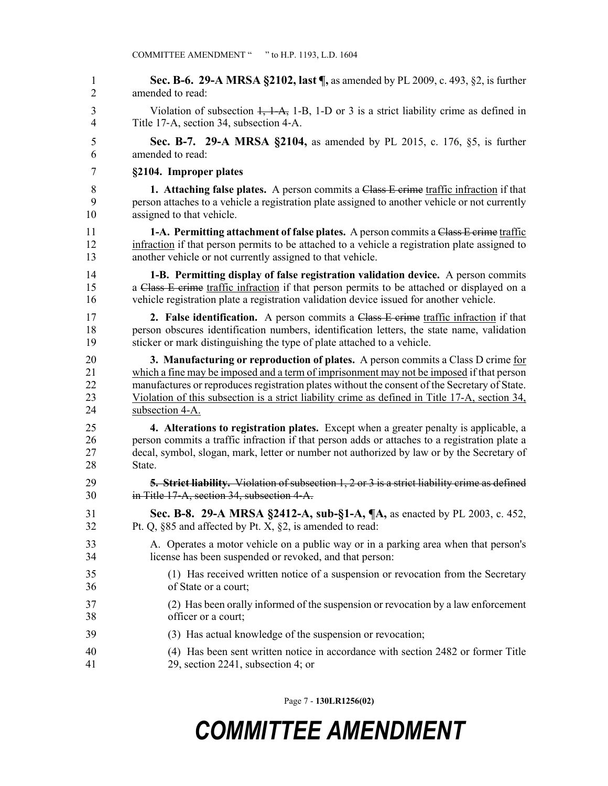1 **Sec. B-6. 29-A MRSA §2102, last ¶,** as amended by PL 2009, c. 493, §2, is further 2 amended to read: 3 Violation of subsection 1, 1-A, 1-B, 1-D or 3 is a strict liability crime as defined in 4 Title 17‑A, section 34, subsection 4‑A. 5 **Sec. B-7. 29-A MRSA §2104,** as amended by PL 2015, c. 176, §5, is further 6 amended to read: 7 **§2104. Improper plates** 8 **1. Attaching false plates.** A person commits a Class E crime traffic infraction if that 9 person attaches to a vehicle a registration plate assigned to another vehicle or not currently 10 assigned to that vehicle. 11 **1-A. Permitting attachment of false plates.** A person commits a Class E crime traffic 12 infraction if that person permits to be attached to a vehicle a registration plate assigned to 13 another vehicle or not currently assigned to that vehicle. 14 **1-B. Permitting display of false registration validation device.** A person commits 15 a Class E crime traffic infraction if that person permits to be attached or displayed on a 16 vehicle registration plate a registration validation device issued for another vehicle. 17 **2. False identification.** A person commits a Class E crime traffic infraction if that 18 person obscures identification numbers, identification letters, the state name, validation 19 sticker or mark distinguishing the type of plate attached to a vehicle. 20 **3. Manufacturing or reproduction of plates.** A person commits a Class D crime for 21 which a fine may be imposed and a term of imprisonment may not be imposed if that person 22 manufactures or reproduces registration plates without the consent of the Secretary of State. 23 Violation of this subsection is a strict liability crime as defined in Title 17-A, section 34, 24 subsection 4-A. 25 **4. Alterations to registration plates.** Except when a greater penalty is applicable, a 26 person commits a traffic infraction if that person adds or attaches to a registration plate a 27 decal, symbol, slogan, mark, letter or number not authorized by law or by the Secretary of 28 State. 29 **5. Strict liability.** Violation of subsection 1, 2 or 3 is a strict liability crime as defined 30 in Title 17‑A, section 34, subsection 4‑A. 31 **Sec. B-8. 29-A MRSA §2412-A, sub-§1-A, ¶A,** as enacted by PL 2003, c. 452, 32 Pt. Q, §85 and affected by Pt. X, §2, is amended to read: 33 A. Operates a motor vehicle on a public way or in a parking area when that person's 34 license has been suspended or revoked, and that person: 35 (1) Has received written notice of a suspension or revocation from the Secretary 36 of State or a court; 37 (2) Has been orally informed of the suspension or revocation by a law enforcement 38 officer or a court; 39 (3) Has actual knowledge of the suspension or revocation; 40 (4) Has been sent written notice in accordance with section 2482 or former Title 41 29, section 2241, subsection 4; or

Page 7 - **130LR1256(02)**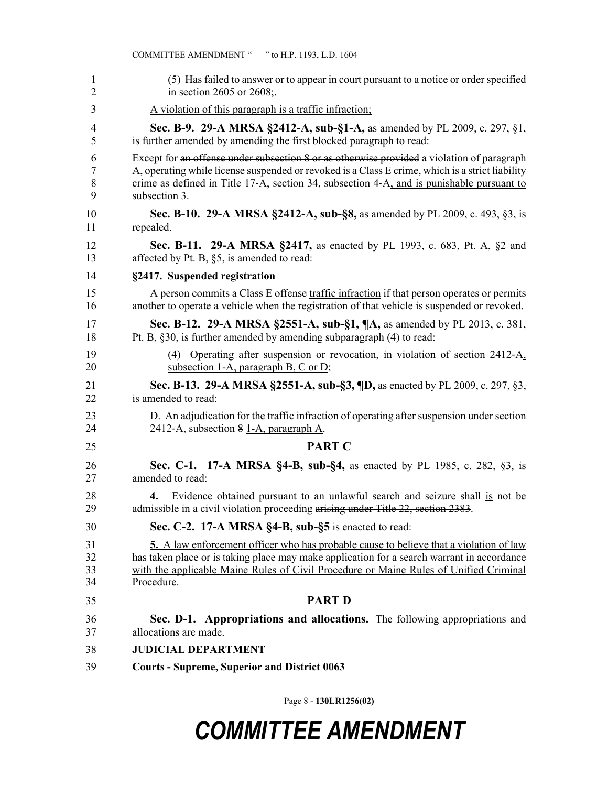|                | COMMITTEE AMENDMENT "" to H.P. 1193, L.D. 1604                                                                                       |
|----------------|--------------------------------------------------------------------------------------------------------------------------------------|
| 1              | (5) Has failed to answer or to appear in court pursuant to a notice or order specified                                               |
| $\overline{2}$ | in section 2605 or 2608 $\frac{1}{2}$ .                                                                                              |
| 3              | A violation of this paragraph is a traffic infraction;                                                                               |
| 4              | <b>Sec. B-9. 29-A MRSA §2412-A, sub-§1-A, as amended by PL 2009, c. 297, §1,</b>                                                     |
| 5              | is further amended by amending the first blocked paragraph to read:                                                                  |
| 6              | Except for an offense under subsection 8 or as otherwise provided a violation of paragraph                                           |
| 7              | A, operating while license suspended or revoked is a Class E crime, which is a strict liability                                      |
| 8              | crime as defined in Title 17-A, section 34, subsection 4-A, and is punishable pursuant to                                            |
| 9              | subsection 3.                                                                                                                        |
| 10             | Sec. B-10. 29-A MRSA §2412-A, sub-§8, as amended by PL 2009, c. 493, §3, is                                                          |
| 11             | repealed.                                                                                                                            |
| 12             | <b>Sec. B-11. 29-A MRSA §2417, as enacted by PL 1993, c. 683, Pt. A, §2 and</b>                                                      |
| 13             | affected by Pt. B, §5, is amended to read:                                                                                           |
| 14             | §2417. Suspended registration                                                                                                        |
| 15             | A person commits a Class E offense traffic infraction if that person operates or permits                                             |
| 16             | another to operate a vehicle when the registration of that vehicle is suspended or revoked.                                          |
| 17             | Sec. B-12. 29-A MRSA §2551-A, sub-§1, ¶A, as amended by PL 2013, c. 381,                                                             |
| 18             | Pt. B, §30, is further amended by amending subparagraph (4) to read:                                                                 |
| 19<br>20       | Operating after suspension or revocation, in violation of section 2412-A <sub>3</sub><br>(4)<br>subsection 1-A, paragraph B, C or D; |
| 21             | Sec. B-13. 29-A MRSA §2551-A, sub-§3, ¶D, as enacted by PL 2009, c. 297, §3,                                                         |
| 22             | is amended to read:                                                                                                                  |
| 23             | D. An adjudication for the traffic infraction of operating after suspension under section                                            |
| 24             | 2412-A, subsection 8 1-A, paragraph A.                                                                                               |
| 25             | <b>PART C</b>                                                                                                                        |
| 26             | Sec. C-1. 17-A MRSA §4-B, sub-§4, as enacted by PL 1985, c. 282, §3, is                                                              |
| 27             | amended to read:                                                                                                                     |
| 28             | Evidence obtained pursuant to an unlawful search and seizure shall is not be                                                         |
| 29             | admissible in a civil violation proceeding arising under Title 22, section 2383.                                                     |
| 30             | Sec. C-2. 17-A MRSA §4-B, sub-§5 is enacted to read:                                                                                 |
| 31             | <b>5.</b> A law enforcement officer who has probable cause to believe that a violation of law                                        |
| 32             | has taken place or is taking place may make application for a search warrant in accordance                                           |
| 33             | with the applicable Maine Rules of Civil Procedure or Maine Rules of Unified Criminal                                                |
| 34             | Procedure.                                                                                                                           |
| 35             | <b>PART D</b>                                                                                                                        |
| 36             | Sec. D-1. Appropriations and allocations. The following appropriations and                                                           |
| 37             | allocations are made.                                                                                                                |
| 38             | <b>JUDICIAL DEPARTMENT</b>                                                                                                           |
| 39             | <b>Courts - Supreme, Superior and District 0063</b>                                                                                  |

Page 8 - **130LR1256(02)**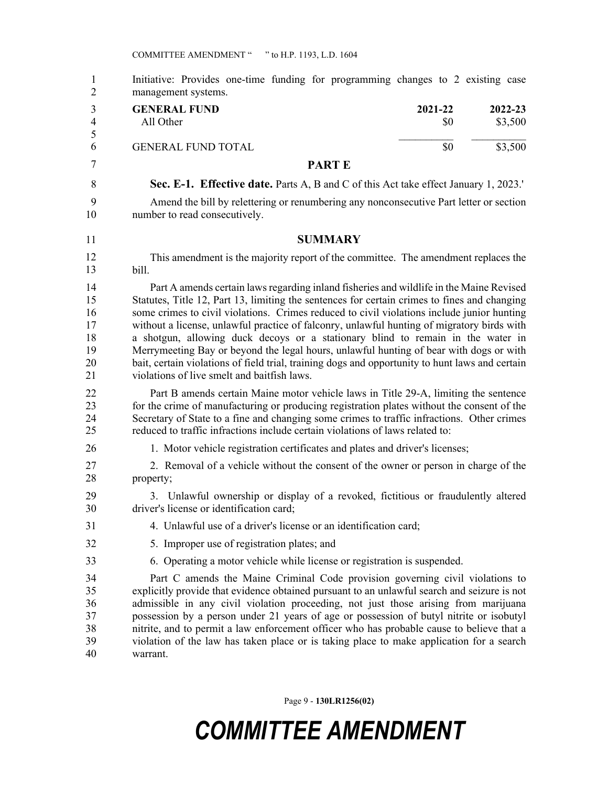| $\mathbf{1}$<br>$\overline{2}$               | Initiative: Provides one-time funding for programming changes to 2 existing case<br>management systems.                                                                                                                                                                                                                                                                                                                                                                                                                                                                                                                                                                                                            |
|----------------------------------------------|--------------------------------------------------------------------------------------------------------------------------------------------------------------------------------------------------------------------------------------------------------------------------------------------------------------------------------------------------------------------------------------------------------------------------------------------------------------------------------------------------------------------------------------------------------------------------------------------------------------------------------------------------------------------------------------------------------------------|
| 3<br>$\overline{4}$<br>5                     | <b>GENERAL FUND</b><br>2021-22<br>2022-23<br>All Other<br>\$3,500<br>\$0                                                                                                                                                                                                                                                                                                                                                                                                                                                                                                                                                                                                                                           |
| 6                                            | \$3,500<br><b>GENERAL FUND TOTAL</b><br>\$0                                                                                                                                                                                                                                                                                                                                                                                                                                                                                                                                                                                                                                                                        |
| 7                                            | <b>PARTE</b>                                                                                                                                                                                                                                                                                                                                                                                                                                                                                                                                                                                                                                                                                                       |
| 8                                            | <b>Sec. E-1. Effective date.</b> Parts A, B and C of this Act take effect January 1, 2023.'                                                                                                                                                                                                                                                                                                                                                                                                                                                                                                                                                                                                                        |
| 9<br>10                                      | Amend the bill by relettering or renumbering any nonconsecutive Part letter or section<br>number to read consecutively.                                                                                                                                                                                                                                                                                                                                                                                                                                                                                                                                                                                            |
| 11                                           | <b>SUMMARY</b>                                                                                                                                                                                                                                                                                                                                                                                                                                                                                                                                                                                                                                                                                                     |
| 12<br>13                                     | This amendment is the majority report of the committee. The amendment replaces the<br>bill.                                                                                                                                                                                                                                                                                                                                                                                                                                                                                                                                                                                                                        |
| 14<br>15<br>16<br>17<br>18<br>19<br>20<br>21 | Part A amends certain laws regarding inland fisheries and wildlife in the Maine Revised<br>Statutes, Title 12, Part 13, limiting the sentences for certain crimes to fines and changing<br>some crimes to civil violations. Crimes reduced to civil violations include junior hunting<br>without a license, unlawful practice of falconry, unlawful hunting of migratory birds with<br>a shotgun, allowing duck decoys or a stationary blind to remain in the water in<br>Merrymeeting Bay or beyond the legal hours, unlawful hunting of bear with dogs or with<br>bait, certain violations of field trial, training dogs and opportunity to hunt laws and certain<br>violations of live smelt and baitfish laws. |
| 22<br>23<br>24<br>25                         | Part B amends certain Maine motor vehicle laws in Title 29-A, limiting the sentence<br>for the crime of manufacturing or producing registration plates without the consent of the<br>Secretary of State to a fine and changing some crimes to traffic infractions. Other crimes<br>reduced to traffic infractions include certain violations of laws related to:                                                                                                                                                                                                                                                                                                                                                   |
| 26                                           | 1. Motor vehicle registration certificates and plates and driver's licenses;                                                                                                                                                                                                                                                                                                                                                                                                                                                                                                                                                                                                                                       |
| 27<br>28                                     | 2. Removal of a vehicle without the consent of the owner or person in charge of the<br>property;                                                                                                                                                                                                                                                                                                                                                                                                                                                                                                                                                                                                                   |
| 29<br>30                                     | 3. Unlawful ownership or display of a revoked, fictitious or fraudulently altered<br>driver's license or identification card;                                                                                                                                                                                                                                                                                                                                                                                                                                                                                                                                                                                      |
| 31                                           | 4. Unlawful use of a driver's license or an identification card;                                                                                                                                                                                                                                                                                                                                                                                                                                                                                                                                                                                                                                                   |
| 32                                           | 5. Improper use of registration plates; and                                                                                                                                                                                                                                                                                                                                                                                                                                                                                                                                                                                                                                                                        |
| 33                                           | 6. Operating a motor vehicle while license or registration is suspended.                                                                                                                                                                                                                                                                                                                                                                                                                                                                                                                                                                                                                                           |
| 34<br>35<br>36<br>37<br>38<br>39<br>40       | Part C amends the Maine Criminal Code provision governing civil violations to<br>explicitly provide that evidence obtained pursuant to an unlawful search and seizure is not<br>admissible in any civil violation proceeding, not just those arising from marijuana<br>possession by a person under 21 years of age or possession of butyl nitrite or isobutyl<br>nitrite, and to permit a law enforcement officer who has probable cause to believe that a<br>violation of the law has taken place or is taking place to make application for a search<br>warrant.                                                                                                                                                |

Page 9 - **130LR1256(02)**